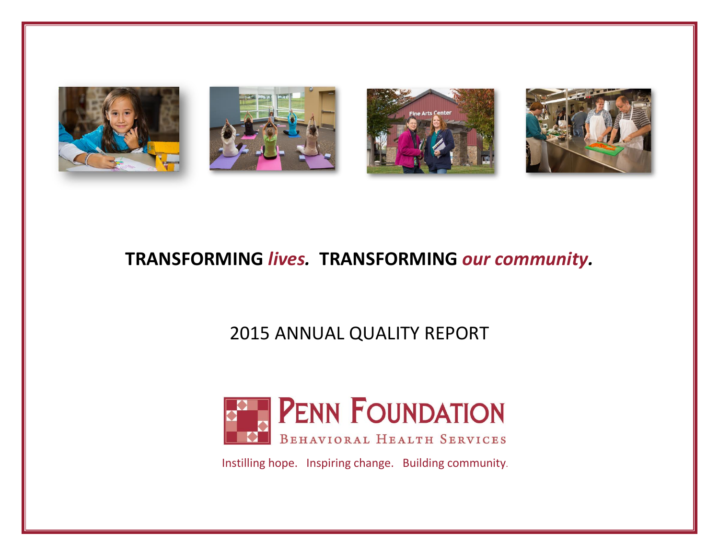

# **TRANSFORMING** *lives.* **TRANSFORMING** *our community.*

# 2015 ANNUAL QUALITY REPORT



Instilling hope. Inspiring change. Building community.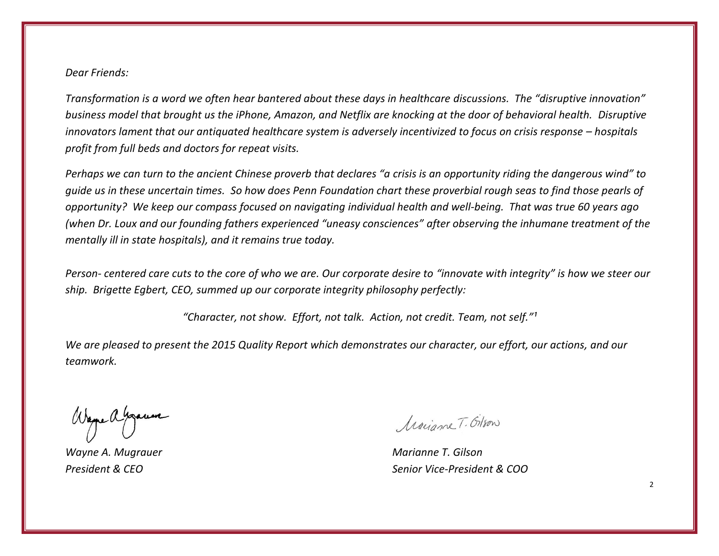# *Dear Friends:*

*Transformation is a word we often hear bantered about these days in healthcare discussions. The "disruptive innovation" business model that brought us the iPhone, Amazon, and Netflix are knocking at the door of behavioral health. Disruptive innovators lament that our antiquated healthcare system is adversely incentivized to focus on crisis response – hospitals profit from full beds and doctors for repeat visits.* 

*Perhaps we can turn to the ancient Chinese proverb that declares "a crisis is an opportunity riding the dangerous wind" to guide us in these uncertain times. So how does Penn Foundation chart these proverbial rough seas to find those pearls of opportunity? We keep our compass focused on navigating individual health and well-being. That was true 60 years ago (when Dr. Loux and our founding fathers experienced "uneasy consciences" after observing the inhumane treatment of the mentally ill in state hospitals), and it remains true today.* 

*Person- centered care cuts to the core of who we are. Our corporate desire to "innovate with integrity" is how we steer our ship. Brigette Egbert, CEO, summed up our corporate integrity philosophy perfectly:* 

*"Character, not show. Effort, not talk. Action, not credit. Team, not self."¹*

*We are pleased to present the 2015 Quality Report which demonstrates our character, our effort, our actions, and our teamwork.*

Wayne a Gracia

*Wayne A. Mugrauer Marianne T. Gilson*

Marianne T. Gilson

*President & CEO Senior Vice-President & COO*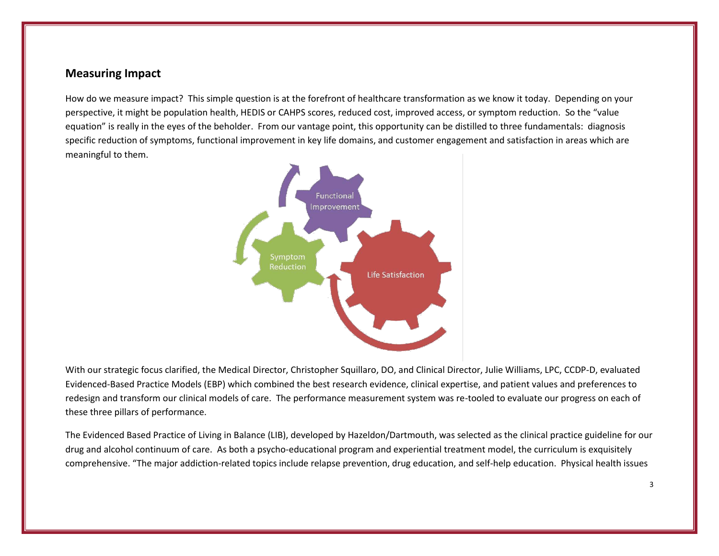# **Measuring Impact**

How do we measure impact? This simple question is at the forefront of healthcare transformation as we know it today. Depending on your perspective, it might be population health, HEDIS or CAHPS scores, reduced cost, improved access, or symptom reduction. So the "value equation" is really in the eyes of the beholder. From our vantage point, this opportunity can be distilled to three fundamentals: diagnosis specific reduction of symptoms, functional improvement in key life domains, and customer engagement and satisfaction in areas which are meaningful to them.



With our strategic focus clarified, the Medical Director, Christopher Squillaro, DO, and Clinical Director, Julie Williams, LPC, CCDP-D, evaluated Evidenced-Based Practice Models (EBP) which combined the best research evidence, clinical expertise, and patient values and preferences to redesign and transform our clinical models of care. The performance measurement system was re-tooled to evaluate our progress on each of these three pillars of performance.

The Evidenced Based Practice of Living in Balance (LIB), developed by Hazeldon/Dartmouth, was selected as the clinical practice guideline for our drug and alcohol continuum of care. As both a psycho-educational program and experiential treatment model, the curriculum is exquisitely comprehensive. "The major addiction-related topics include relapse prevention, drug education, and self-help education. Physical health issues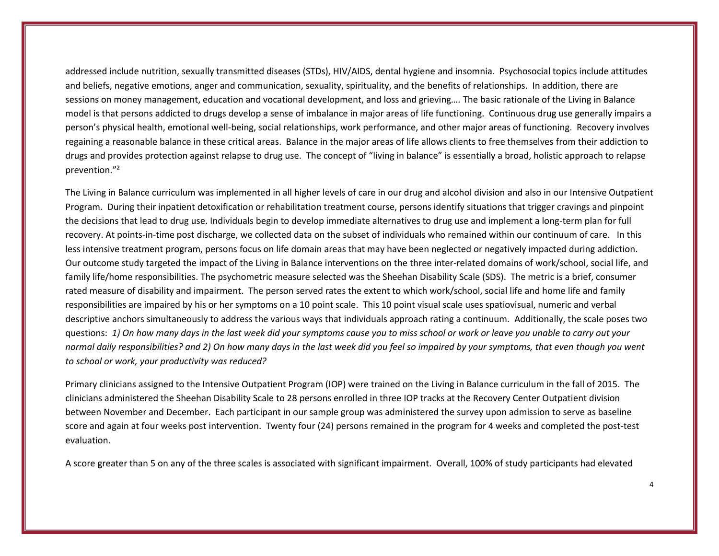addressed include nutrition, sexually transmitted diseases (STDs), HIV/AIDS, dental hygiene and insomnia. Psychosocial topics include attitudes and beliefs, negative emotions, anger and communication, sexuality, spirituality, and the benefits of relationships. In addition, there are sessions on money management, education and vocational development, and loss and grieving…. The basic rationale of the Living in Balance model is that persons addicted to drugs develop a sense of imbalance in major areas of life functioning. Continuous drug use generally impairs a person's physical health, emotional well-being, social relationships, work performance, and other major areas of functioning. Recovery involves regaining a reasonable balance in these critical areas. Balance in the major areas of life allows clients to free themselves from their addiction to drugs and provides protection against relapse to drug use. The concept of "living in balance" is essentially a broad, holistic approach to relapse prevention."²

The Living in Balance curriculum was implemented in all higher levels of care in our drug and alcohol division and also in our Intensive Outpatient Program. During their inpatient detoxification or rehabilitation treatment course, persons identify situations that trigger cravings and pinpoint the decisions that lead to drug use. Individuals begin to develop immediate alternatives to drug use and implement a long-term plan for full recovery. At points-in-time post discharge, we collected data on the subset of individuals who remained within our continuum of care. In this less intensive treatment program, persons focus on life domain areas that may have been neglected or negatively impacted during addiction. Our outcome study targeted the impact of the Living in Balance interventions on the three inter-related domains of work/school, social life, and family life/home responsibilities. The psychometric measure selected was the Sheehan Disability Scale (SDS). The metric is a brief, consumer rated measure of disability and impairment. The person served rates the extent to which work/school, social life and home life and family responsibilities are impaired by his or her symptoms on a 10 point scale. This 10 point visual scale uses spatiovisual, numeric and verbal descriptive anchors simultaneously to address the various ways that individuals approach rating a continuum. Additionally, the scale poses two questions: *1) On how many days in the last week did your symptoms cause you to miss school or work or leave you unable to carry out your normal daily responsibilities? and 2) On how many days in the last week did you feel so impaired by your symptoms, that even though you went to school or work, your productivity was reduced?* 

Primary clinicians assigned to the Intensive Outpatient Program (IOP) were trained on the Living in Balance curriculum in the fall of 2015. The clinicians administered the Sheehan Disability Scale to 28 persons enrolled in three IOP tracks at the Recovery Center Outpatient division between November and December. Each participant in our sample group was administered the survey upon admission to serve as baseline score and again at four weeks post intervention. Twenty four (24) persons remained in the program for 4 weeks and completed the post-test evaluation.

A score greater than 5 on any of the three scales is associated with significant impairment. Overall, 100% of study participants had elevated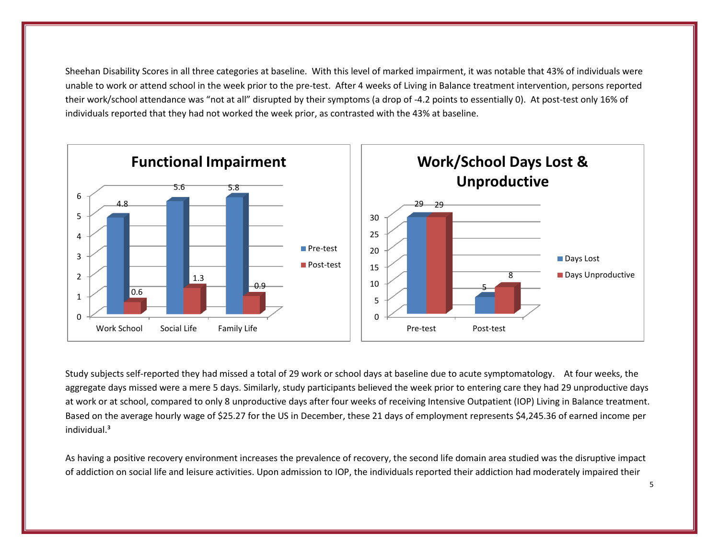Sheehan Disability Scores in all three categories at baseline. With this level of marked impairment, it was notable that 43% of individuals were unable to work or attend school in the week prior to the pre-test. After 4 weeks of Living in Balance treatment intervention, persons reported their work/school attendance was "not at all" disrupted by their symptoms (a drop of -4.2 points to essentially 0). At post-test only 16% of individuals reported that they had not worked the week prior, as contrasted with the 43% at baseline.



Study subjects self-reported they had missed a total of 29 work or school days at baseline due to acute symptomatology. At four weeks, the aggregate days missed were a mere 5 days. Similarly, study participants believed the week prior to entering care they had 29 unproductive days at work or at school, compared to only 8 unproductive days after four weeks of receiving Intensive Outpatient (IOP) Living in Balance treatment. Based on the average hourly wage of \$25.27 for the US in December, these 21 days of employment represents \$4,245.36 of earned income per individual.³

As having a positive recovery environment increases the prevalence of recovery, the second life domain area studied was the disruptive impact of addiction on social life and leisure activities. Upon admission to IOP, the individuals reported their addiction had moderately impaired their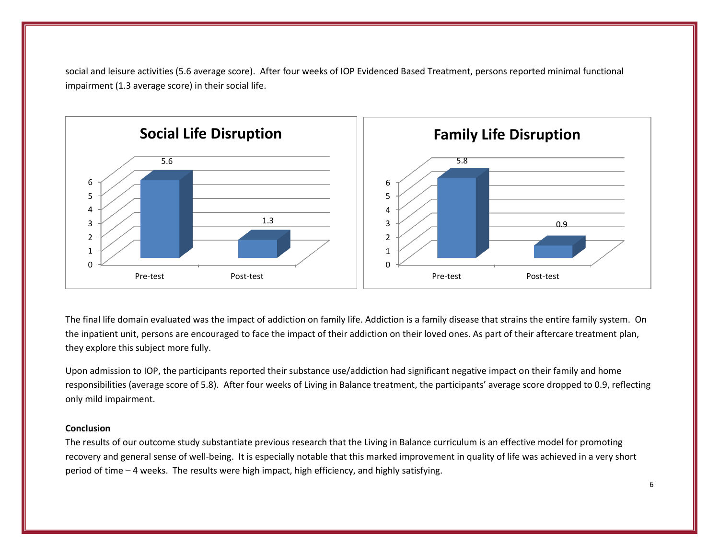social and leisure activities (5.6 average score). After four weeks of IOP Evidenced Based Treatment, persons reported minimal functional impairment (1.3 average score) in their social life.



The final life domain evaluated was the impact of addiction on family life. Addiction is a family disease that strains the entire family system. On the inpatient unit, persons are encouraged to face the impact of their addiction on their loved ones. As part of their aftercare treatment plan, they explore this subject more fully.

Upon admission to IOP, the participants reported their substance use/addiction had significant negative impact on their family and home responsibilities (average score of 5.8). After four weeks of Living in Balance treatment, the participants' average score dropped to 0.9, reflecting only mild impairment.

#### **Conclusion**

The results of our outcome study substantiate previous research that the Living in Balance curriculum is an effective model for promoting recovery and general sense of well-being. It is especially notable that this marked improvement in quality of life was achieved in a very short period of time – 4 weeks. The results were high impact, high efficiency, and highly satisfying.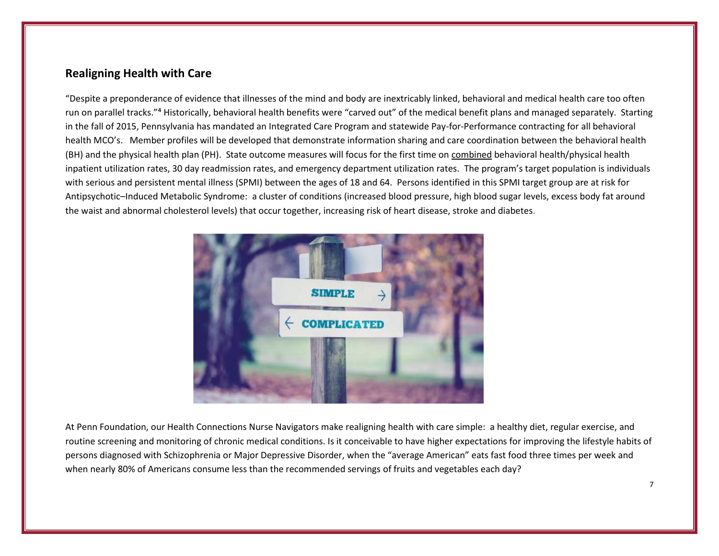# **Realigning Health with Care**

"Despite a preponderance of evidence that illnesses of the mind and body are inextricably linked, behavioral and medical health care too often run on parallel tracks."<sup>4</sup> Historically, behavioral health benefits were "carved out" of the medical benefit plans and managed separately. Starting in the fall of 2015, Pennsylvania has mandated an Integrated Care Program and statewide Pay-for-Performance contracting for all behavioral health MCO's. Member profiles will be developed that demonstrate information sharing and care coordination between the behavioral health (BH) and the physical health plan (PH). State outcome measures will focus for the first time on combined behavioral health/physical health inpatient utilization rates, 30 day readmission rates, and emergency department utilization rates. The program's target population is individuals with serious and persistent mental illness (SPMI) between the ages of 18 and 64. Persons identified in this SPMI target group are at risk for Antipsychotic–Induced Metabolic Syndrome: a cluster of conditions (increased blood pressure, high blood sugar levels, excess body fat around the waist and abnormal cholesterol levels) that occur together, increasing risk of heart disease, stroke and diabetes.



At Penn Foundation, our Health Connections Nurse Navigators make realigning health with care simple: a healthy diet, regular exercise, and routine screening and monitoring of chronic medical conditions. Is it conceivable to have higher expectations for improving the lifestyle habits of persons diagnosed with Schizophrenia or Major Depressive Disorder, when the "average American" eats fast food three times per week and when nearly 80% of Americans consume less than the recommended servings of fruits and vegetables each day?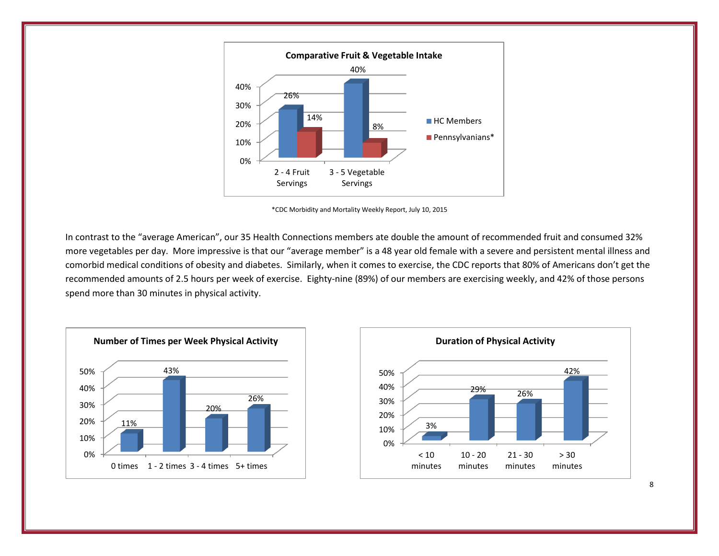

\*CDC Morbidity and Mortality Weekly Report, July 10, 2015

In contrast to the "average American", our 35 Health Connections members ate double the amount of recommended fruit and consumed 32% more vegetables per day. More impressive is that our "average member" is a 48 year old female with a severe and persistent mental illness and comorbid medical conditions of obesity and diabetes. Similarly, when it comes to exercise, the CDC reports that 80% of Americans don't get the recommended amounts of 2.5 hours per week of exercise. Eighty-nine (89%) of our members are exercising weekly, and 42% of those persons spend more than 30 minutes in physical activity.





8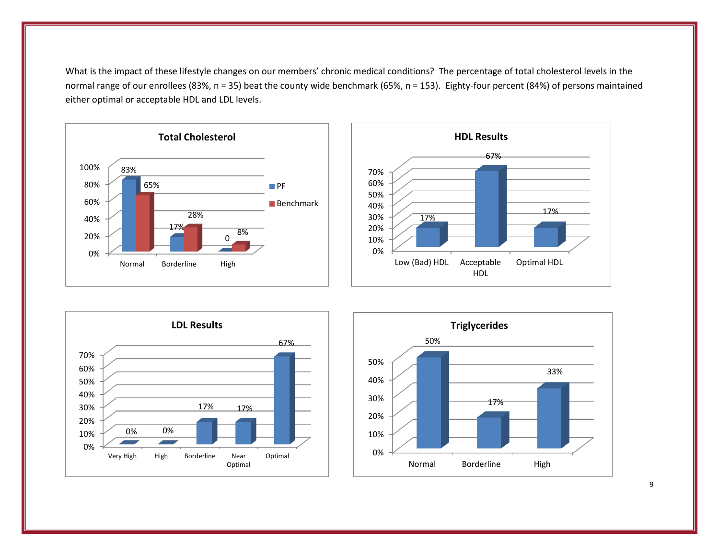What is the impact of these lifestyle changes on our members' chronic medical conditions? The percentage of total cholesterol levels in the normal range of our enrollees (83%, n = 35) beat the county wide benchmark (65%, n = 153). Eighty-four percent (84%) of persons maintained either optimal or acceptable HDL and LDL levels.









9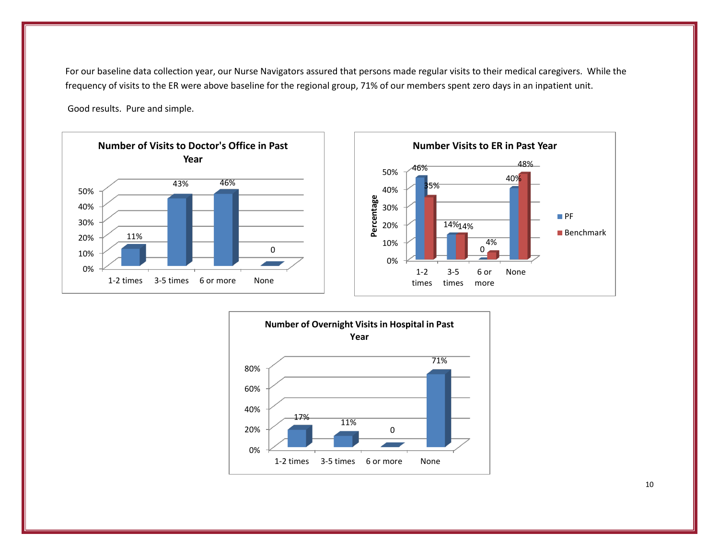For our baseline data collection year, our Nurse Navigators assured that persons made regular visits to their medical caregivers. While the frequency of visits to the ER were above baseline for the regional group, 71% of our members spent zero days in an inpatient unit.

Good results. Pure and simple.





10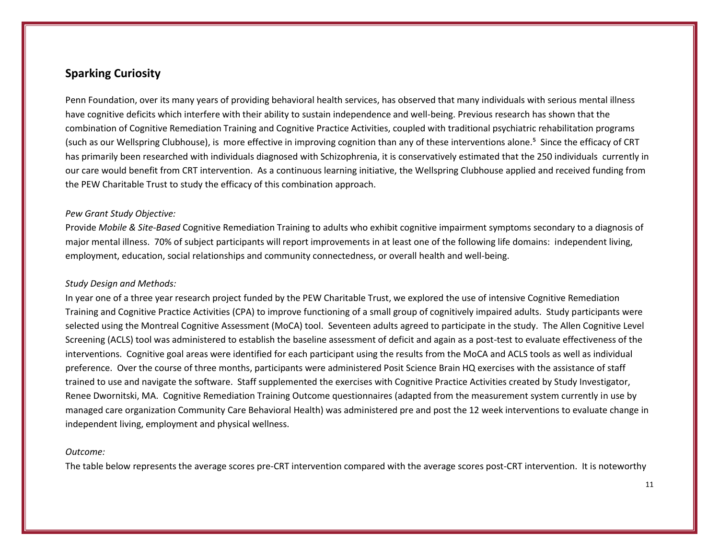# **Sparking Curiosity**

Penn Foundation, over its many years of providing behavioral health services, has observed that many individuals with serious mental illness have cognitive deficits which interfere with their ability to sustain independence and well-being. Previous research has shown that the combination of Cognitive Remediation Training and Cognitive Practice Activities, coupled with traditional psychiatric rehabilitation programs (such as our Wellspring Clubhouse), is more effective in improving cognition than any of these interventions alone.<sup>5</sup> Since the efficacy of CRT has primarily been researched with individuals diagnosed with Schizophrenia, it is conservatively estimated that the 250 individuals currently in our care would benefit from CRT intervention. As a continuous learning initiative, the Wellspring Clubhouse applied and received funding from the PEW Charitable Trust to study the efficacy of this combination approach.

#### *Pew Grant Study Objective:*

Provide *Mobile & Site-Based* Cognitive Remediation Training to adults who exhibit cognitive impairment symptoms secondary to a diagnosis of major mental illness. 70% of subject participants will report improvements in at least one of the following life domains: independent living, employment, education, social relationships and community connectedness, or overall health and well-being.

## *Study Design and Methods:*

In year one of a three year research project funded by the PEW Charitable Trust, we explored the use of intensive Cognitive Remediation Training and Cognitive Practice Activities (CPA) to improve functioning of a small group of cognitively impaired adults. Study participants were selected using the Montreal Cognitive Assessment (MoCA) tool. Seventeen adults agreed to participate in the study. The Allen Cognitive Level Screening (ACLS) tool was administered to establish the baseline assessment of deficit and again as a post-test to evaluate effectiveness of the interventions. Cognitive goal areas were identified for each participant using the results from the MoCA and ACLS tools as well as individual preference. Over the course of three months, participants were administered Posit Science Brain HQ exercises with the assistance of staff trained to use and navigate the software. Staff supplemented the exercises with Cognitive Practice Activities created by Study Investigator, Renee Dwornitski, MA. Cognitive Remediation Training Outcome questionnaires (adapted from the measurement system currently in use by managed care organization Community Care Behavioral Health) was administered pre and post the 12 week interventions to evaluate change in independent living, employment and physical wellness.

#### *Outcome:*

The table below represents the average scores pre-CRT intervention compared with the average scores post-CRT intervention. It is noteworthy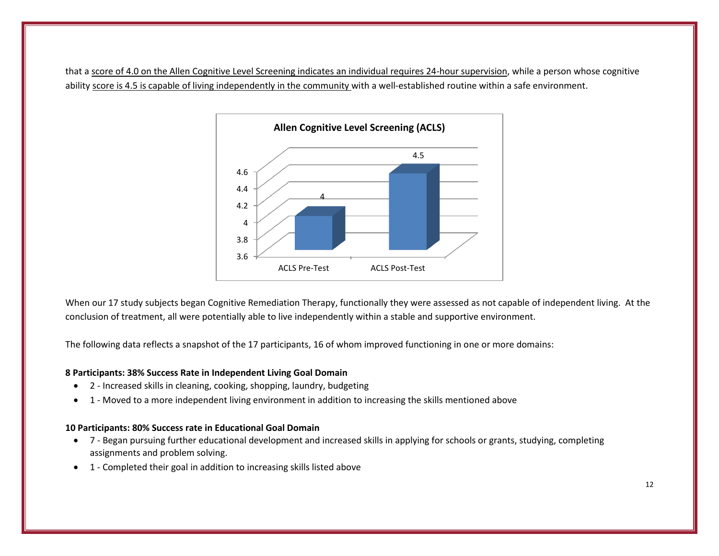that a score of 4.0 on the Allen Cognitive Level Screening indicates an individual requires 24-hour supervision, while a person whose cognitive ability score is 4.5 is capable of living independently in the community with a well-established routine within a safe environment.



When our 17 study subjects began Cognitive Remediation Therapy, functionally they were assessed as not capable of independent living. At the conclusion of treatment, all were potentially able to live independently within a stable and supportive environment.

The following data reflects a snapshot of the 17 participants, 16 of whom improved functioning in one or more domains:

## **8 Participants: 38% Success Rate in Independent Living Goal Domain**

- 2 Increased skills in cleaning, cooking, shopping, laundry, budgeting
- 1 Moved to a more independent living environment in addition to increasing the skills mentioned above

## **10 Participants: 80% Success rate in Educational Goal Domain**

- 7 Began pursuing further educational development and increased skills in applying for schools or grants, studying, completing assignments and problem solving.
- 1 Completed their goal in addition to increasing skills listed above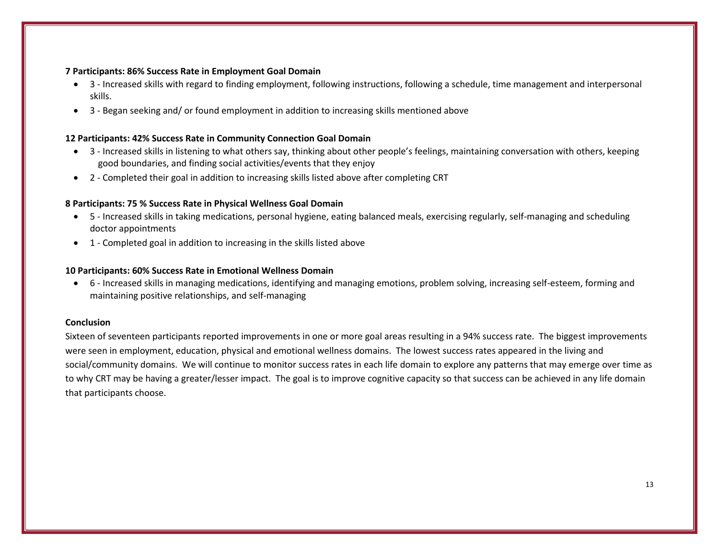## **7 Participants: 86% Success Rate in Employment Goal Domain**

- 3 Increased skills with regard to finding employment, following instructions, following a schedule, time management and interpersonal skills.
- 3 Began seeking and/ or found employment in addition to increasing skills mentioned above

## **12 Participants: 42% Success Rate in Community Connection Goal Domain**

- 3 Increased skills in listening to what others say, thinking about other people's feelings, maintaining conversation with others, keeping good boundaries, and finding social activities/events that they enjoy
- 2 Completed their goal in addition to increasing skills listed above after completing CRT

## **8 Participants: 75 % Success Rate in Physical Wellness Goal Domain**

- 5 Increased skills in taking medications, personal hygiene, eating balanced meals, exercising regularly, self-managing and scheduling doctor appointments
- 1 Completed goal in addition to increasing in the skills listed above

## **10 Participants: 60% Success Rate in Emotional Wellness Domain**

 6 - Increased skills in managing medications, identifying and managing emotions, problem solving, increasing self-esteem, forming and maintaining positive relationships, and self-managing

## **Conclusion**

Sixteen of seventeen participants reported improvements in one or more goal areas resulting in a 94% success rate. The biggest improvements were seen in employment, education, physical and emotional wellness domains. The lowest success rates appeared in the living and social/community domains. We will continue to monitor success rates in each life domain to explore any patterns that may emerge over time as to why CRT may be having a greater/lesser impact. The goal is to improve cognitive capacity so that success can be achieved in any life domain that participants choose.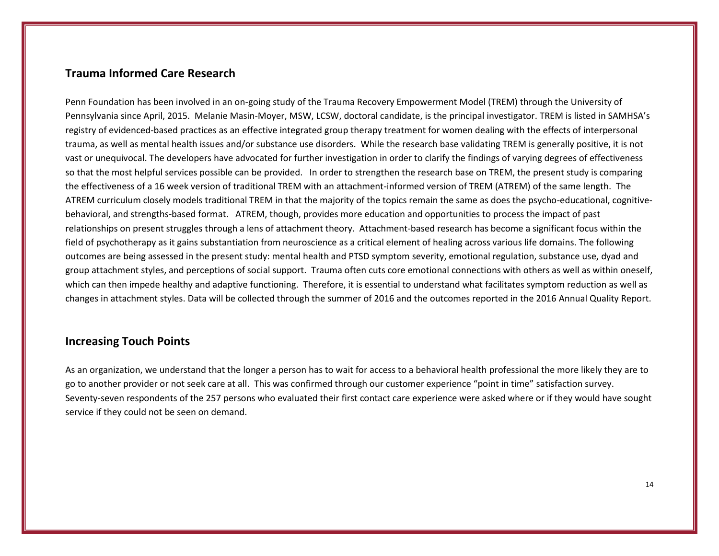# **Trauma Informed Care Research**

Penn Foundation has been involved in an on-going study of the Trauma Recovery Empowerment Model (TREM) through the University of Pennsylvania since April, 2015. Melanie Masin-Moyer, MSW, LCSW, doctoral candidate, is the principal investigator. TREM is listed in SAMHSA's registry of evidenced-based practices as an effective integrated group therapy treatment for women dealing with the effects of interpersonal trauma, as well as mental health issues and/or substance use disorders. While the research base validating TREM is generally positive, it is not vast or unequivocal. The developers have advocated for further investigation in order to clarify the findings of varying degrees of effectiveness so that the most helpful services possible can be provided. In order to strengthen the research base on TREM, the present study is comparing the effectiveness of a 16 week version of traditional TREM with an attachment-informed version of TREM (ATREM) of the same length. The ATREM curriculum closely models traditional TREM in that the majority of the topics remain the same as does the psycho-educational, cognitivebehavioral, and strengths-based format. ATREM, though, provides more education and opportunities to process the impact of past relationships on present struggles through a lens of attachment theory. Attachment-based research has become a significant focus within the field of psychotherapy as it gains substantiation from neuroscience as a critical element of healing across various life domains. The following outcomes are being assessed in the present study: mental health and PTSD symptom severity, emotional regulation, substance use, dyad and group attachment styles, and perceptions of social support. Trauma often cuts core emotional connections with others as well as within oneself, which can then impede healthy and adaptive functioning. Therefore, it is essential to understand what facilitates symptom reduction as well as changes in attachment styles. Data will be collected through the summer of 2016 and the outcomes reported in the 2016 Annual Quality Report.

# **Increasing Touch Points**

As an organization, we understand that the longer a person has to wait for access to a behavioral health professional the more likely they are to go to another provider or not seek care at all. This was confirmed through our customer experience "point in time" satisfaction survey. Seventy-seven respondents of the 257 persons who evaluated their first contact care experience were asked where or if they would have sought service if they could not be seen on demand.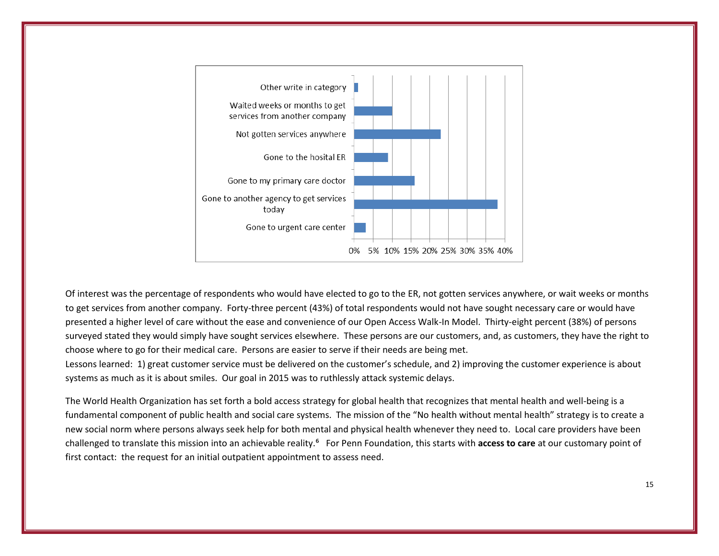

Of interest was the percentage of respondents who would have elected to go to the ER, not gotten services anywhere, or wait weeks or months to get services from another company. Forty-three percent (43%) of total respondents would not have sought necessary care or would have presented a higher level of care without the ease and convenience of our Open Access Walk-In Model. Thirty-eight percent (38%) of persons surveyed stated they would simply have sought services elsewhere. These persons are our customers, and, as customers, they have the right to choose where to go for their medical care. Persons are easier to serve if their needs are being met.

Lessons learned: 1) great customer service must be delivered on the customer's schedule, and 2) improving the customer experience is about systems as much as it is about smiles. Our goal in 2015 was to ruthlessly attack systemic delays.

The World Health Organization has set forth a bold access strategy for global health that recognizes that mental health and well-being is a fundamental component of public health and social care systems. The mission of the "No health without mental health" strategy is to create a new social norm where persons always seek help for both mental and physical health whenever they need to. Local care providers have been challenged to translate this mission into an achievable reality.⁶ For Penn Foundation, this starts with **access to care** at our customary point of first contact: the request for an initial outpatient appointment to assess need.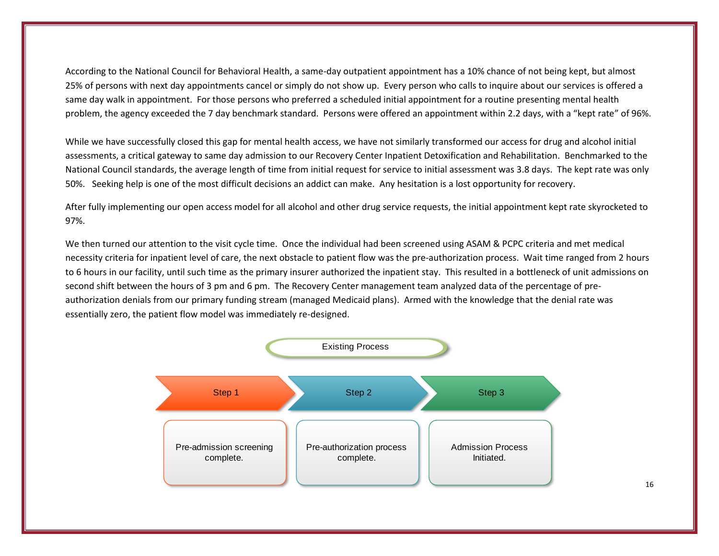According to the National Council for Behavioral Health, a same-day outpatient appointment has a 10% chance of not being kept, but almost 25% of persons with next day appointments cancel or simply do not show up. Every person who calls to inquire about our services is offered a same day walk in appointment. For those persons who preferred a scheduled initial appointment for a routine presenting mental health problem, the agency exceeded the 7 day benchmark standard. Persons were offered an appointment within 2.2 days, with a "kept rate" of 96%.

While we have successfully closed this gap for mental health access, we have not similarly transformed our access for drug and alcohol initial assessments, a critical gateway to same day admission to our Recovery Center Inpatient Detoxification and Rehabilitation. Benchmarked to the National Council standards, the average length of time from initial request for service to initial assessment was 3.8 days. The kept rate was only 50%. Seeking help is one of the most difficult decisions an addict can make. Any hesitation is a lost opportunity for recovery.

After fully implementing our open access model for all alcohol and other drug service requests, the initial appointment kept rate skyrocketed to 97%.

We then turned our attention to the visit cycle time. Once the individual had been screened using ASAM & PCPC criteria and met medical necessity criteria for inpatient level of care, the next obstacle to patient flow was the pre-authorization process. Wait time ranged from 2 hours to 6 hours in our facility, until such time as the primary insurer authorized the inpatient stay. This resulted in a bottleneck of unit admissions on second shift between the hours of 3 pm and 6 pm. The Recovery Center management team analyzed data of the percentage of preauthorization denials from our primary funding stream (managed Medicaid plans). Armed with the knowledge that the denial rate was essentially zero, the patient flow model was immediately re-designed.

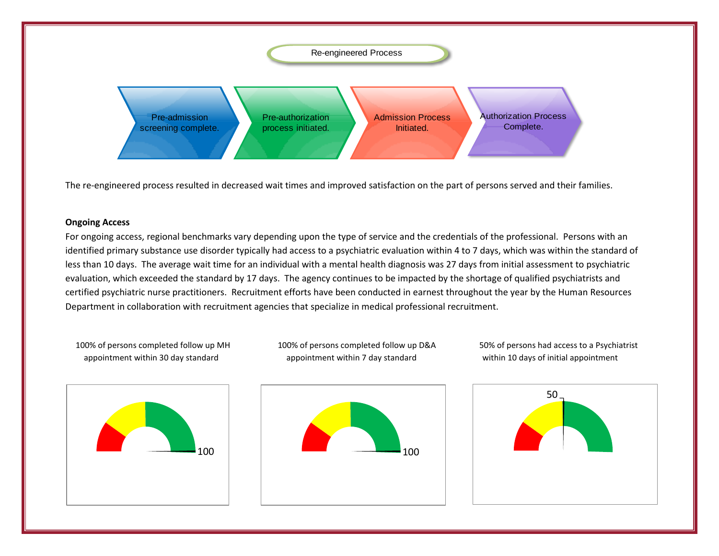Re-engineered Process Pre-admission screening complete. Pre-authorization process initiated. Admission Process Initiated. Authorization Process Complete.

The re-engineered process resulted in decreased wait times and improved satisfaction on the part of persons served and their families.

## **Ongoing Access**

For ongoing access, regional benchmarks vary depending upon the type of service and the credentials of the professional. Persons with an identified primary substance use disorder typically had access to a psychiatric evaluation within 4 to 7 days, which was within the standard of less than 10 days. The average wait time for an individual with a mental health diagnosis was 27 days from initial assessment to psychiatric evaluation, which exceeded the standard by 17 days. The agency continues to be impacted by the shortage of qualified psychiatrists and certified psychiatric nurse practitioners. Recruitment efforts have been conducted in earnest throughout the year by the Human Resources Department in collaboration with recruitment agencies that specialize in medical professional recruitment.

 100% of persons completed follow up MH 100% of persons completed follow up D&A 50% of persons had access to a Psychiatrist appointment within 30 day standard appointment within 7 day standard within 10 days of initial appointment





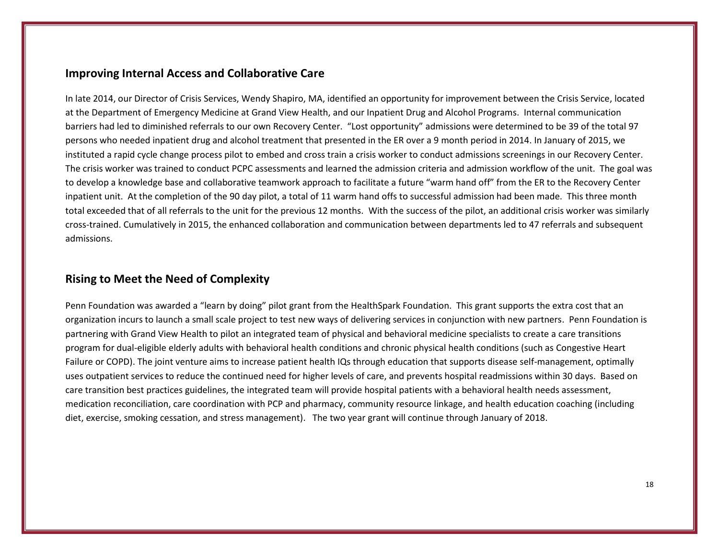# **Improving Internal Access and Collaborative Care**

In late 2014, our Director of Crisis Services, Wendy Shapiro, MA, identified an opportunity for improvement between the Crisis Service, located at the Department of Emergency Medicine at Grand View Health, and our Inpatient Drug and Alcohol Programs. Internal communication barriers had led to diminished referrals to our own Recovery Center. "Lost opportunity" admissions were determined to be 39 of the total 97 persons who needed inpatient drug and alcohol treatment that presented in the ER over a 9 month period in 2014. In January of 2015, we instituted a rapid cycle change process pilot to embed and cross train a crisis worker to conduct admissions screenings in our Recovery Center. The crisis worker was trained to conduct PCPC assessments and learned the admission criteria and admission workflow of the unit. The goal was to develop a knowledge base and collaborative teamwork approach to facilitate a future "warm hand off" from the ER to the Recovery Center inpatient unit. At the completion of the 90 day pilot, a total of 11 warm hand offs to successful admission had been made. This three month total exceeded that of all referrals to the unit for the previous 12 months. With the success of the pilot, an additional crisis worker was similarly cross-trained. Cumulatively in 2015, the enhanced collaboration and communication between departments led to 47 referrals and subsequent admissions.

# **Rising to Meet the Need of Complexity**

Penn Foundation was awarded a "learn by doing" pilot grant from the HealthSpark Foundation. This grant supports the extra cost that an organization incurs to launch a small scale project to test new ways of delivering services in conjunction with new partners. Penn Foundation is partnering with Grand View Health to pilot an integrated team of physical and behavioral medicine specialists to create a care transitions program for dual-eligible elderly adults with behavioral health conditions and chronic physical health conditions (such as Congestive Heart Failure or COPD). The joint venture aims to increase patient health IQs through education that supports disease self-management, optimally uses outpatient services to reduce the continued need for higher levels of care, and prevents hospital readmissions within 30 days. Based on care transition best practices guidelines, the integrated team will provide hospital patients with a behavioral health needs assessment, medication reconciliation, care coordination with PCP and pharmacy, community resource linkage, and health education coaching (including diet, exercise, smoking cessation, and stress management). The two year grant will continue through January of 2018.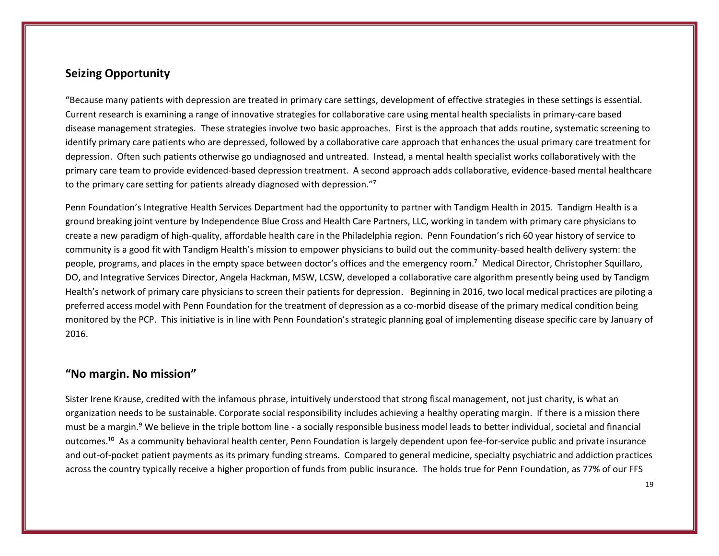# **Seizing Opportunity**

"Because many patients with depression are treated in primary care settings, development of effective strategies in these settings is essential. Current research is examining a range of innovative strategies for collaborative care using mental health specialists in primary-care based disease management strategies. These strategies involve two basic approaches. First is the approach that adds routine, systematic screening to identify primary care patients who are depressed, followed by a collaborative care approach that enhances the usual primary care treatment for depression. Often such patients otherwise go undiagnosed and untreated. Instead, a mental health specialist works collaboratively with the primary care team to provide evidenced-based depression treatment. A second approach adds collaborative, evidence-based mental healthcare to the primary care setting for patients already diagnosed with depression."7

Penn Foundation's Integrative Health Services Department had the opportunity to partner with Tandigm Health in 2015. Tandigm Health is a ground breaking joint venture by Independence Blue Cross and Health Care Partners, LLC, working in tandem with primary care physicians to create a new paradigm of high-quality, affordable health care in the Philadelphia region. Penn Foundation's rich 60 year history of service to community is a good fit with Tandigm Health's mission to empower physicians to build out the community-based health delivery system: the people, programs, and places in the empty space between doctor's offices and the emergency room.<sup>7</sup> Medical Director, Christopher Squillaro, DO, and Integrative Services Director, Angela Hackman, MSW, LCSW, developed a collaborative care algorithm presently being used by Tandigm Health's network of primary care physicians to screen their patients for depression. Beginning in 2016, two local medical practices are piloting a preferred access model with Penn Foundation for the treatment of depression as a co-morbid disease of the primary medical condition being monitored by the PCP. This initiative is in line with Penn Foundation's strategic planning goal of implementing disease specific care by January of 2016.

# **"No margin. No mission"**

Sister Irene Krause, credited with the infamous phrase, intuitively understood that strong fiscal management, not just charity, is what an organization needs to be sustainable. Corporate social responsibility includes achieving a healthy operating margin. If there is a mission there must be a margin.<sup>9</sup> We believe in the triple bottom line - a socially responsible business model leads to better individual, societal and financial outcomes.<sup>10</sup> As a community behavioral health center, Penn Foundation is largely dependent upon fee-for-service public and private insurance and out-of-pocket patient payments as its primary funding streams. Compared to general medicine, specialty psychiatric and addiction practices across the country typically receive a higher proportion of funds from public insurance. The holds true for Penn Foundation, as 77% of our FFS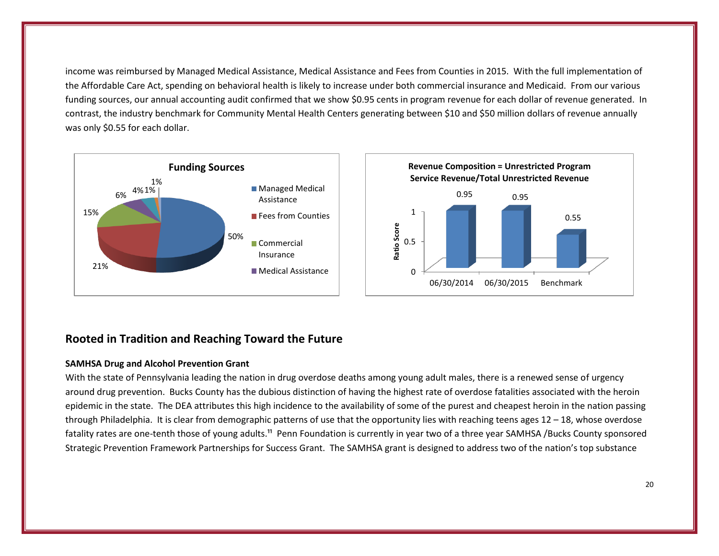income was reimbursed by Managed Medical Assistance, Medical Assistance and Fees from Counties in 2015. With the full implementation of the Affordable Care Act, spending on behavioral health is likely to increase under both commercial insurance and Medicaid. From our various funding sources, our annual accounting audit confirmed that we show \$0.95 cents in program revenue for each dollar of revenue generated. In contrast, the industry benchmark for Community Mental Health Centers generating between \$10 and \$50 million dollars of revenue annually was only \$0.55 for each dollar.



# **Rooted in Tradition and Reaching Toward the Future**

#### **SAMHSA Drug and Alcohol Prevention Grant**

With the state of Pennsylvania leading the nation in drug overdose deaths among young adult males, there is a renewed sense of urgency around drug prevention. Bucks County has the dubious distinction of having the highest rate of overdose fatalities associated with the heroin epidemic in the state. The DEA attributes this high incidence to the availability of some of the purest and cheapest heroin in the nation passing through Philadelphia. It is clear from demographic patterns of use that the opportunity lies with reaching teens ages 12 – 18, whose overdose fatality rates are one-tenth those of young adults.<sup>11</sup> Penn Foundation is currently in year two of a three year SAMHSA /Bucks County sponsored Strategic Prevention Framework Partnerships for Success Grant. The SAMHSA grant is designed to address two of the nation's top substance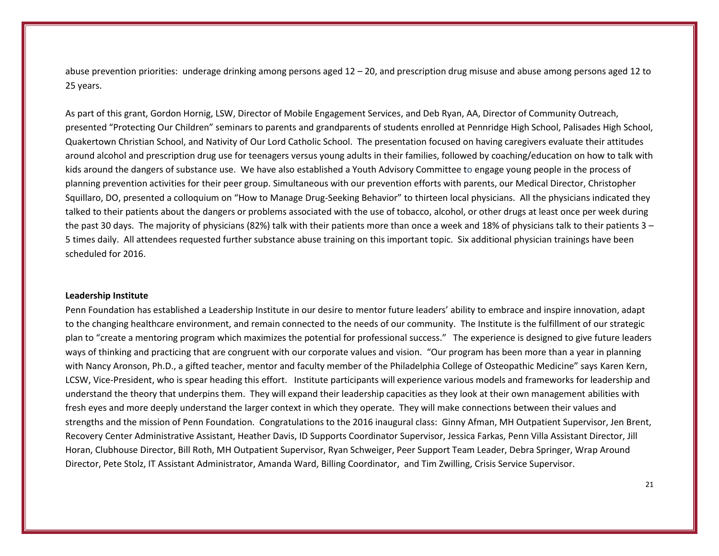abuse prevention priorities: underage drinking among persons aged 12 – 20, and prescription drug misuse and abuse among persons aged 12 to 25 years.

As part of this grant, Gordon Hornig, LSW, Director of Mobile Engagement Services, and Deb Ryan, AA, Director of Community Outreach, presented "Protecting Our Children" seminars to parents and grandparents of students enrolled at Pennridge High School, Palisades High School, Quakertown Christian School, and Nativity of Our Lord Catholic School. The presentation focused on having caregivers evaluate their attitudes around alcohol and prescription drug use for teenagers versus young adults in their families, followed by coaching/education on how to talk with kids around the dangers of substance use. We have also established a Youth Advisory Committee to engage young people in the process of planning prevention activities for their peer group. Simultaneous with our prevention efforts with parents, our Medical Director, Christopher Squillaro, DO, presented a colloquium on "How to Manage Drug-Seeking Behavior" to thirteen local physicians. All the physicians indicated they talked to their patients about the dangers or problems associated with the use of tobacco, alcohol, or other drugs at least once per week during the past 30 days. The majority of physicians (82%) talk with their patients more than once a week and 18% of physicians talk to their patients 3 – 5 times daily. All attendees requested further substance abuse training on this important topic. Six additional physician trainings have been scheduled for 2016.

#### **Leadership Institute**

Penn Foundation has established a Leadership Institute in our desire to mentor future leaders' ability to embrace and inspire innovation, adapt to the changing healthcare environment, and remain connected to the needs of our community. The Institute is the fulfillment of our strategic plan to "create a mentoring program which maximizes the potential for professional success." The experience is designed to give future leaders ways of thinking and practicing that are congruent with our corporate values and vision. "Our program has been more than a year in planning with Nancy Aronson, Ph.D., a gifted teacher, mentor and faculty member of the Philadelphia College of Osteopathic Medicine" says Karen Kern, LCSW, Vice-President, who is spear heading this effort. Institute participants will experience various models and frameworks for leadership and understand the theory that underpins them. They will expand their leadership capacities as they look at their own management abilities with fresh eyes and more deeply understand the larger context in which they operate. They will make connections between their values and strengths and the mission of Penn Foundation. Congratulations to the 2016 inaugural class: Ginny Afman, MH Outpatient Supervisor, Jen Brent, Recovery Center Administrative Assistant, Heather Davis, ID Supports Coordinator Supervisor, Jessica Farkas, Penn Villa Assistant Director, Jill Horan, Clubhouse Director, Bill Roth, MH Outpatient Supervisor, Ryan Schweiger, Peer Support Team Leader, Debra Springer, Wrap Around Director, Pete Stolz, IT Assistant Administrator, Amanda Ward, Billing Coordinator, and Tim Zwilling, Crisis Service Supervisor.